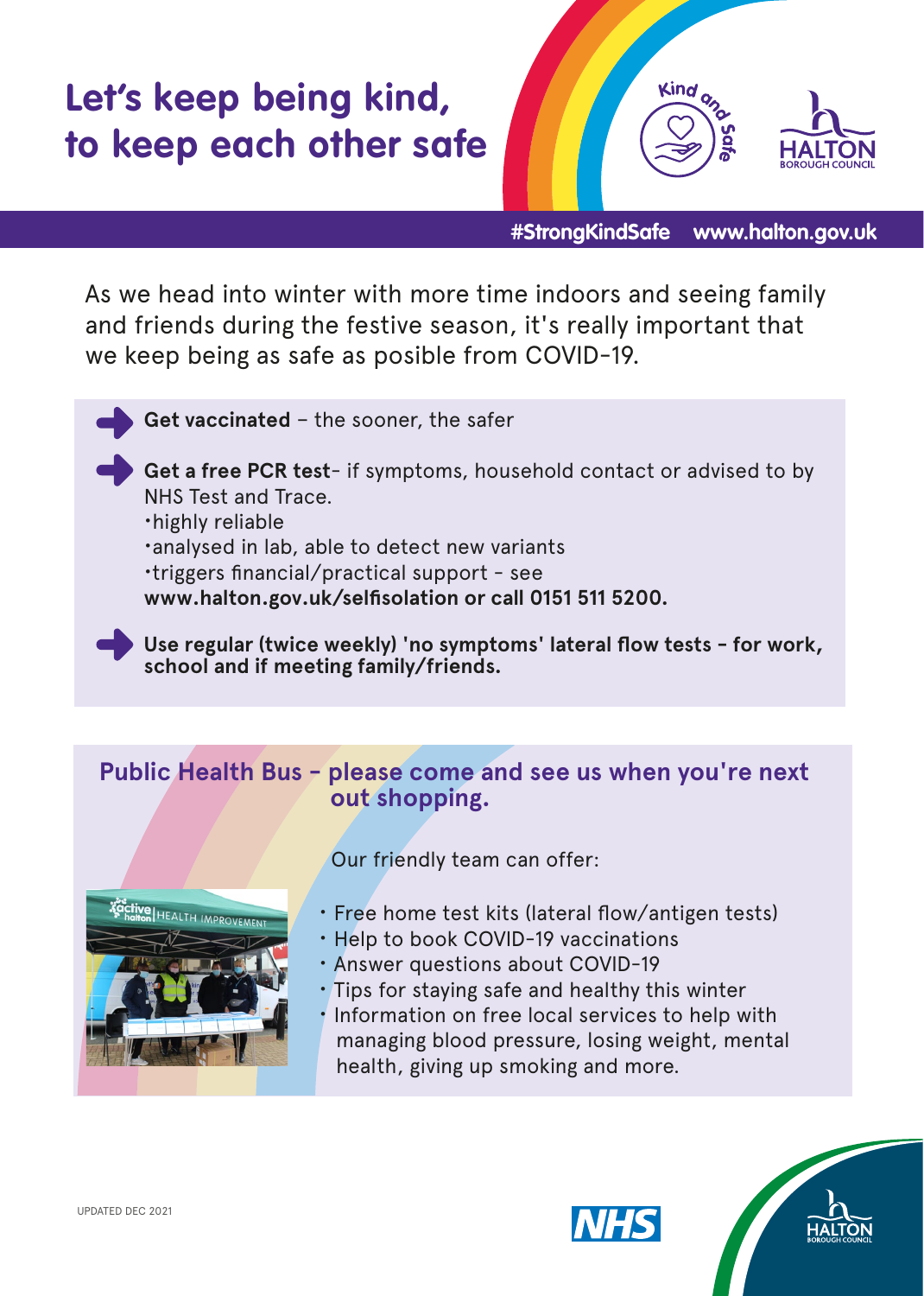# **Let's keep being kind, to keep each other safe**



**#StrongKindSafe www.halton.gov.uk**

As we head into winter with more time indoors and seeing family and friends during the festive season, it's really important that we keep being as safe as posible from COVID-19.

**Get vaccinated** – the sooner, the safer

**Get a free PCR test**- if symptoms, household contact or advised to by NHS Test and Trace.

•highly reliable

- •analysed in lab, able to detect new variants
- •triggers financial/practical support see

**www.halton.gov.uk/selfisolation or call 0151 511 5200.**

**Use regular (twice weekly) 'no symptoms' lateral flow tests - for work, school and if meeting family/friends.**

#### **Public Health Bus - please come and see us when you're next out shopping.**



Our friendly team can offer:

- **Give HEALTH IMPROVEMENT** Free home test kits (lateral flow/antigen tests)
	- Help to book COVID-19 vaccinations
	- Answer questions about COVID-19
	- Tips for staying safe and healthy this winter
	- Information on free local services to help with managing blood pressure, losing weight, mental health, giving up smoking and more.